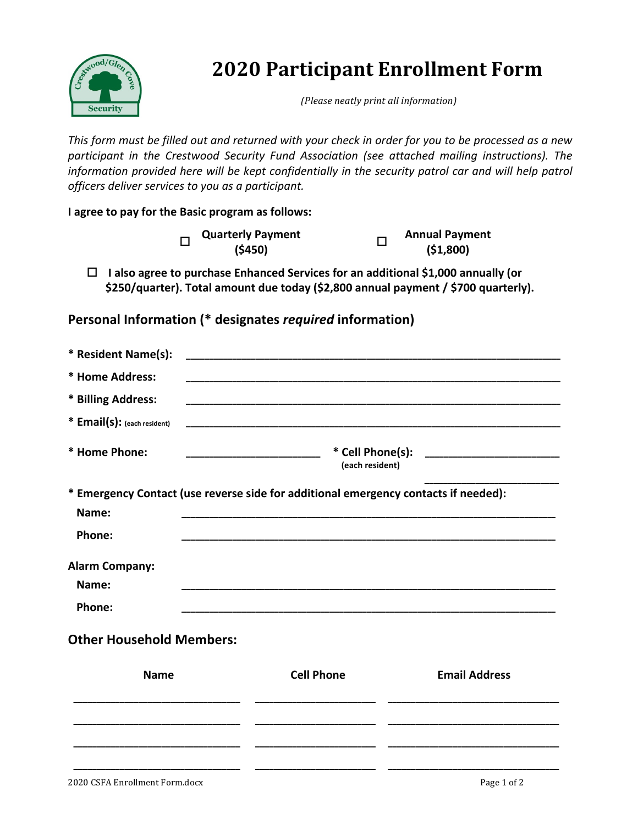

# **2020 Participant Enrollment Form**

*(Please neatly print all information)*

This form must be filled out and returned with your check in order for you to be processed as a new participant in the Crestwood Security Fund Association (see attached mailing instructions). The information provided here will be kept confidentially in the security patrol car and will help patrol *officers deliver services to you as a participant.*

**I** agree to pay for the Basic program as follows:

|  | <b>Quarterly Payment</b> | <b>Annual Payment</b> |
|--|--------------------------|-----------------------|
|  | (5450)                   | ( \$1,800)            |

 $\Box$  **I** also agree to purchase Enhanced Services for an additional \$1,000 annually (or \$250/quarter). Total amount due today (\$2,800 annual payment / \$700 quarterly).

## **Personal Information (\* designates** *required* **information)**

| * Resident Name(s):                                                                          |                                                             |                      |  |
|----------------------------------------------------------------------------------------------|-------------------------------------------------------------|----------------------|--|
| * Home Address:                                                                              |                                                             |                      |  |
| * Billing Address:                                                                           |                                                             |                      |  |
| * Email(s): (each resident)                                                                  | <u> 1989 - Johann Stoff, amerikansk politiker (d. 1989)</u> |                      |  |
| * Home Phone:                                                                                | (each resident)                                             |                      |  |
| * Emergency Contact (use reverse side for additional emergency contacts if needed):<br>Name: |                                                             |                      |  |
| Phone:                                                                                       |                                                             |                      |  |
| <b>Alarm Company:</b><br>Name:                                                               |                                                             |                      |  |
| Phone:                                                                                       |                                                             |                      |  |
| <b>Other Household Members:</b>                                                              |                                                             |                      |  |
| <b>Name</b>                                                                                  | <b>Cell Phone</b>                                           | <b>Email Address</b> |  |
|                                                                                              |                                                             |                      |  |
|                                                                                              |                                                             |                      |  |
|                                                                                              |                                                             |                      |  |